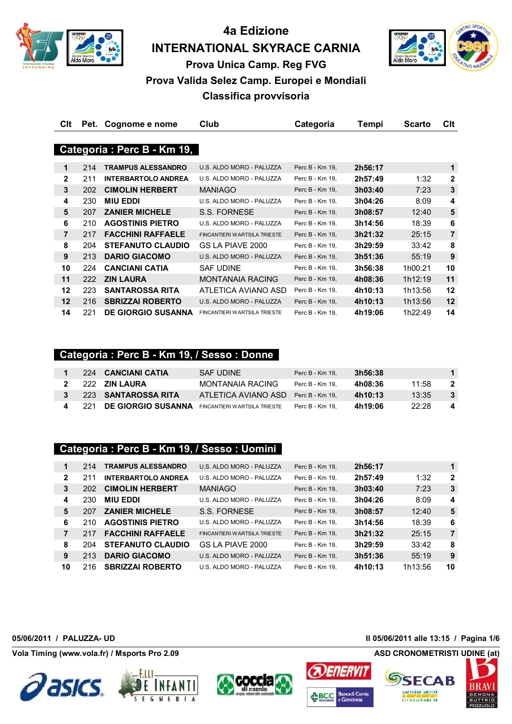

**4a Edizione INTERNATIONAL SKYRACE CARNIA**



**Prova Unica Camp. Reg FVG**

# **Prova Valida Selez Camp. Europei e Mondiali**

**Classifica provvisoria**

| Clt            | Pet. | Cognome e nome             | Club                                | Categoria       | Tempi   | <b>Scarto</b> | Clt            |
|----------------|------|----------------------------|-------------------------------------|-----------------|---------|---------------|----------------|
|                |      |                            |                                     |                 |         |               |                |
|                |      | Categoria: Perc B - Km 19, |                                     |                 |         |               |                |
|                |      |                            |                                     |                 |         |               |                |
| 1              | 214  | <b>TRAMPUS ALESSANDRO</b>  | U.S. ALDO MORO - PALUZZA            | Perc B - Km 19, | 2h56:17 |               | 1              |
| $\mathbf{2}$   | 211  | <b>INTERBARTOLO ANDREA</b> | U.S. ALDO MORO - PALUZZA            | Perc B - Km 19, | 2h57:49 | 1:32          | $\mathbf{2}$   |
| $\mathbf{3}$   | 202  | <b>CIMOLIN HERBERT</b>     | <b>MANIAGO</b>                      | Perc B - Km 19, | 3h03:40 | 7:23          | $\mathbf{3}$   |
| 4              | 230  | <b>MIU EDDI</b>            | U.S. ALDO MORO - PALUZZA            | Perc B - Km 19, | 3h04:26 | 8:09          | 4              |
| 5              | 207  | <b>ZANIER MICHELE</b>      | S.S. FORNESE                        | Perc B - Km 19, | 3h08:57 | 12:40         | 5              |
| 6              | 210  | <b>AGOSTINIS PIETRO</b>    | U.S. ALDO MORO - PALUZZA            | Perc B - Km 19, | 3h14:56 | 18:39         | 6              |
| $\overline{7}$ | 217  | <b>FACCHINI RAFFAELE</b>   | FINCANTIERI WARTSILA TRIESTE        | Perc B - Km 19, | 3h21:32 | 25:15         | $\overline{7}$ |
| 8              | 204  | <b>STEFANUTO CLAUDIO</b>   | GS LA PIAVE 2000                    | Perc B - Km 19, | 3h29:59 | 33:42         | 8              |
| 9              | 213  | <b>DARIO GIACOMO</b>       | U.S. ALDO MORO - PALUZZA            | Perc B - Km 19, | 3h51:36 | 55:19         | 9              |
| 10             | 224  | <b>CANCIANI CATIA</b>      | <b>SAF UDINE</b>                    | Perc B - Km 19, | 3h56:38 | 1h00:21       | 10             |
| 11             | 222  | <b>ZIN LAURA</b>           | <b>MONTANAIA RACING</b>             | Perc B - Km 19, | 4h08:36 | 1h12:19       | 11             |
| 12             | 223  | <b>SANTAROSSA RITA</b>     | ATLETICA AVIANO ASD                 | Perc B - Km 19, | 4h10:13 | 1h13:56       | 12             |
| 12             | 216  | <b>SBRIZZAI ROBERTO</b>    | U.S. ALDO MORO - PALUZZA            | Perc B - Km 19, | 4h10:13 | 1h13:56       | 12             |
| 14             | 221  | <b>DE GIORGIO SUSANNA</b>  | <b>FINCANTIERI WARTSILA TRIESTE</b> | Perc B - Km 19, | 4h19:06 | 1h22:49       | 14             |

## **Categoria : Perc B - Km 19, / Sesso : Donne**

|      | 224 CANCIANI CATIA  | SAF UDINE                    | Perc B - Km 19. | 3h56:38 |       | $\blacktriangleleft$ |
|------|---------------------|------------------------------|-----------------|---------|-------|----------------------|
|      | 222 ZIN LAURA       | MONTANAIA RACING             | Perc B - Km 19. | 4h08:36 | 11:58 | -2                   |
|      | 223 SANTAROSSA RITA | ATLETICA AVIANO ASD          | Perc B - Km 19. | 4h10:13 | 13:35 | $\mathbf{3}$         |
| -221 | DE GIORGIO SUSANNA  | FINCANTIERI WARTSILA TRIESTE | Perc B - Km 19. | 4h19:06 | 22.28 | 4                    |

# **Categoria : Perc B - Km 19, / Sesso : Uomini**

| 1            | 214 | <b>TRAMPUS ALESSANDRO</b>  | U.S. ALDO MORO - PALUZZA     | Perc B - Km 19, | 2h56:17 |         | 1              |
|--------------|-----|----------------------------|------------------------------|-----------------|---------|---------|----------------|
| $\mathbf{2}$ | 211 | <b>INTERBARTOLO ANDREA</b> | U.S. ALDO MORO - PALUZZA     | Perc B - Km 19. | 2h57:49 | 1:32    | $\mathbf{2}$   |
| 3            | 202 | <b>CIMOLIN HERBERT</b>     | <b>MANIAGO</b>               | Perc B - Km 19, | 3h03:40 | 7:23    | 3              |
| 4            | 230 | <b>MIU EDDI</b>            | U.S. ALDO MORO - PALUZZA     | Perc B - Km 19. | 3h04:26 | 8:09    | 4              |
| 5            | 207 | <b>ZANIER MICHELE</b>      | S.S. FORNESE                 | Perc B - Km 19. | 3h08:57 | 12:40   | 5              |
| 6            | 210 | <b>AGOSTINIS PIETRO</b>    | U.S. ALDO MORO - PALUZZA     | Perc B - Km 19. | 3h14:56 | 18:39   | 6              |
| 7            | 217 | <b>FACCHINI RAFFAELE</b>   | FINCANTIERI WARTSILA TRIESTE | Perc B - Km 19, | 3h21:32 | 25:15   | $\overline{7}$ |
| 8            | 204 | <b>STEFANUTO CLAUDIO</b>   | GS LA PIAVE 2000             | Perc B - Km 19, | 3h29:59 | 33:42   | 8              |
| 9            | 213 | <b>DARIO GIACOMO</b>       | U.S. ALDO MORO - PALUZZA     | Perc B - Km 19. | 3h51:36 | 55:19   | 9              |
| 10           | 216 | <b>SBRIZZAI ROBERTO</b>    | U.S. ALDO MORO - PALUZZA     | Perc B - Km 19. | 4h10:13 | 1h13:56 | 10             |





**05/06/2011 / PALUZZA- UD Il 05/06/2011 alle 13:15 / Pagina 1/6**

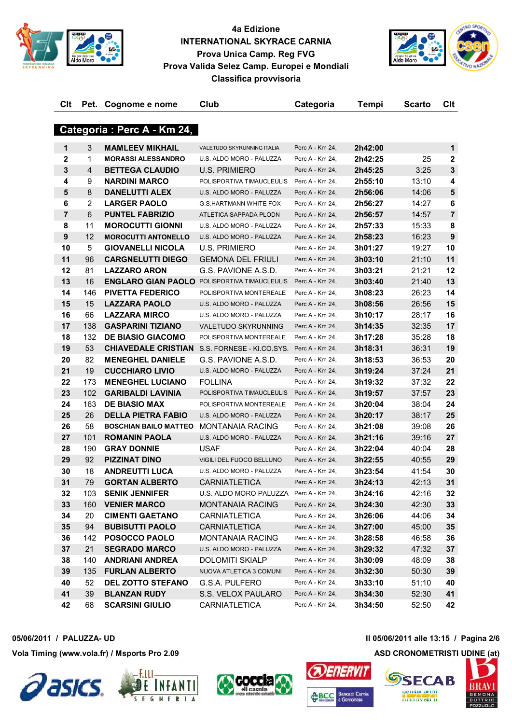



| Clt            |                | Pet. Cognome e nome          | Club                                                | Categoria       | Tempi   | <b>Scarto</b> | C <sub>it</sub> |
|----------------|----------------|------------------------------|-----------------------------------------------------|-----------------|---------|---------------|-----------------|
|                |                |                              |                                                     |                 |         |               |                 |
|                |                | Categoria: Perc A - Km 24,   |                                                     |                 |         |               |                 |
| 1              | 3              | <b>MAMLEEV MIKHAIL</b>       | VALETUDO SKYRUNNING ITALIA                          | Perc A - Km 24, | 2h42:00 |               | $\mathbf 1$     |
| $\mathbf{2}$   | 1              | <b>MORASSI ALESSANDRO</b>    | U.S. ALDO MORO - PALUZZA                            | Perc A - Km 24, | 2h42:25 | 25            | $\mathbf 2$     |
| $\mathbf{3}$   | 4              | <b>BETTEGA CLAUDIO</b>       | <b>U.S. PRIMIERO</b>                                | Perc A - Km 24, | 2h45:25 | 3:25          | 3               |
| 4              | 9              | <b>NARDINI MARCO</b>         | POLISPORTIVA TIMAUCLEULIS                           | Perc A - Km 24, | 2h55:10 | 13:10         | 4               |
| 5              | 8              | <b>DANELUTTI ALEX</b>        | U.S. ALDO MORO - PALUZZA                            | Perc A - Km 24, | 2h56:06 | 14:06         | 5               |
| 6              | $\overline{2}$ | <b>LARGER PAOLO</b>          | <b>G.S.HARTMANN WHITE FOX</b>                       | Perc A - Km 24. | 2h56:27 | 14:27         | 6               |
| $\overline{7}$ | 6              | <b>PUNTEL FABRIZIO</b>       | ATLETICA SAPPADA PLODN                              | Perc A - Km 24, | 2h56:57 | 14:57         | $\overline{7}$  |
| 8              | 11             | <b>MOROCUTTI GIONNI</b>      | U.S. ALDO MORO - PALUZZA                            | Perc A - Km 24, | 2h57:33 | 15:33         | 8               |
| 9              | 12             | <b>MOROCUTTI ANTONELLO</b>   | U.S. ALDO MORO - PALUZZA                            | Perc A - Km 24, | 2h58:23 | 16:23         | 9               |
| 10             | 5              | <b>GIOVANELLI NICOLA</b>     | <b>U.S. PRIMIERO</b>                                | Perc A - Km 24, | 3h01:27 | 19:27         | 10              |
| 11             | 96             | <b>CARGNELUTTI DIEGO</b>     | <b>GEMONA DEL FRIULI</b>                            | Perc A - Km 24, | 3h03:10 | 21:10         | 11              |
| 12             | 81             | <b>LAZZARO ARON</b>          | G.S. PAVIONE A.S.D.                                 | Perc A - Km 24, | 3h03:21 | 21:21         | 12              |
| 13             | 16             |                              | <b>ENGLARO GIAN PAOLO POLISPORTIVA TIMAUCLEULIS</b> | Perc A - Km 24, | 3h03:40 | 21:40         | 13              |
| 14             | 146            | <b>PIVETTA FEDERICO</b>      | POLISPORTIVA MONTEREALE                             | Perc A - Km 24, | 3h08:23 | 26:23         | 14              |
| 15             | 15             | <b>LAZZARA PAOLO</b>         | U.S. ALDO MORO - PALUZZA                            | Perc A - Km 24, | 3h08:56 | 26:56         | 15              |
| 16             | 66             | <b>LAZZARA MIRCO</b>         | U.S. ALDO MORO - PALUZZA                            | Perc A - Km 24, | 3h10:17 | 28:17         | 16              |
| 17             | 138            | <b>GASPARINI TIZIANO</b>     | <b>VALETUDO SKYRUNNING</b>                          | Perc A - Km 24, | 3h14:35 | 32:35         | 17              |
| 18             | 132            | <b>DE BIASIO GIACOMO</b>     | POLISPORTIVA MONTEREALE                             | Perc A - Km 24, | 3h17:28 | 35:28         | 18              |
| 19             | 53             | <b>CHIAVEDALE CRISTIAN</b>   | S.S. FORNESE - KI.CO.SYS.                           | Perc A - Km 24, | 3h18:31 | 36:31         | 19              |
| 20             | 82             | <b>MENEGHEL DANIELE</b>      | G.S. PAVIONE A.S.D.                                 | Perc A - Km 24, | 3h18:53 | 36:53         | 20              |
| 21             | 19             | <b>CUCCHIARO LIVIO</b>       | U.S. ALDO MORO - PALUZZA                            | Perc A - Km 24, | 3h19:24 | 37:24         | 21              |
| 22             | 173            | <b>MENEGHEL LUCIANO</b>      | <b>FOLLINA</b>                                      | Perc A - Km 24, | 3h19:32 | 37:32         | 22              |
| 23             | 102            | <b>GARIBALDI LAVINIA</b>     | POLISPORTIVA TIMAUCLEULIS                           | Perc A - Km 24, | 3h19:57 | 37:57         | 23              |
| 24             | 163            | <b>DE BIASIO MAX</b>         | POLISPORTIVA MONTEREALE                             | Perc A - Km 24, | 3h20:04 | 38:04         | 24              |
| 25             | 26             | <b>DELLA PIETRA FABIO</b>    | U.S. ALDO MORO - PALUZZA                            | Perc A - Km 24, | 3h20:17 | 38:17         | 25              |
| 26             | 58             | <b>BOSCHIAN BAILO MATTEO</b> | <b>MONTANAIA RACING</b>                             | Perc A - Km 24, | 3h21:08 | 39:08         | 26              |
| 27             | 101            | <b>ROMANIN PAOLA</b>         | U.S. ALDO MORO - PALUZZA                            | Perc A - Km 24, | 3h21:16 | 39:16         | 27              |
| 28             | 190            | <b>GRAY DONNIE</b>           | <b>USAF</b>                                         | Perc A - Km 24, | 3h22:04 | 40:04         | 28              |
| 29             | 92             | <b>PIZZINAT DINO</b>         | VIGILI DEL FUOCO BELLUNO                            | Perc A - Km 24, | 3h22:55 | 40:55         | 29              |
| 30             | 18             | <b>ANDREUTTI LUCA</b>        | U.S. ALDO MORO - PALUZZA                            | Perc A - Km 24, | 3h23:54 | 41:54         | 30              |
| 31             | 79             | <b>GORTAN ALBERTO</b>        | <b>CARNIATLETICA</b>                                | Perc A - Km 24, | 3h24:13 | 42:13         | 31              |
| 32             | 103            | <b>SENIK JENNIFER</b>        | U.S. ALDO MORO PALUZZA Perc A - Km 24,              |                 | 3h24:16 | 42:16         | 32              |
| 33             |                | 160 VENIER MARCO             | <b>MONTANAIA RACING</b>                             | Perc A - Km 24, | 3h24:30 | 42:30         | 33 <sub>o</sub> |
| 34             | 20             | <b>CIMENTI GAETANO</b>       | CARNIATLETICA                                       | Perc A - Km 24, | 3h26:06 | 44:06         | 34              |
| 35             | 94             | <b>BUBISUTTI PAOLO</b>       | <b>CARNIATLETICA</b>                                | Perc A - Km 24, | 3h27:00 | 45:00         | 35              |
| 36             | 142            | <b>POSOCCO PAOLO</b>         | <b>MONTANAIA RACING</b>                             | Perc A - Km 24, | 3h28:58 | 46:58         | 36              |
| 37             | 21             | <b>SEGRADO MARCO</b>         | U.S. ALDO MORO - PALUZZA                            | Perc A - Km 24, | 3h29:32 | 47:32         | 37              |
| 38             | 140            | <b>ANDRIANI ANDREA</b>       | <b>DOLOMITI SKIALP</b>                              | Perc A - Km 24, | 3h30:09 | 48:09         | 38              |
| 39             | 135            | <b>FURLAN ALBERTO</b>        | NUOVA ATLETICA 3 COMUNI                             | Perc A - Km 24, | 3h32:30 | 50:30         | 39              |
| 40             | 52             | <b>DEL ZOTTO STEFANO</b>     | G.S.A. PULFERO                                      | Perc A - Km 24, | 3h33:10 | 51:10         | 40              |
| 41             | 39             | <b>BLANZAN RUDY</b>          | S.S. VELOX PAULARO                                  | Perc A - Km 24, | 3h34:30 | 52:30         | 41              |
| 42             | 68             | <b>SCARSINI GIULIO</b>       | CARNIATLETICA                                       | Perc A - Km 24, | 3h34:50 | 52:50         | 42              |







**05/06/2011 / PALUZZA- UD Il 05/06/2011 alle 13:15 / Pagina 2/6**

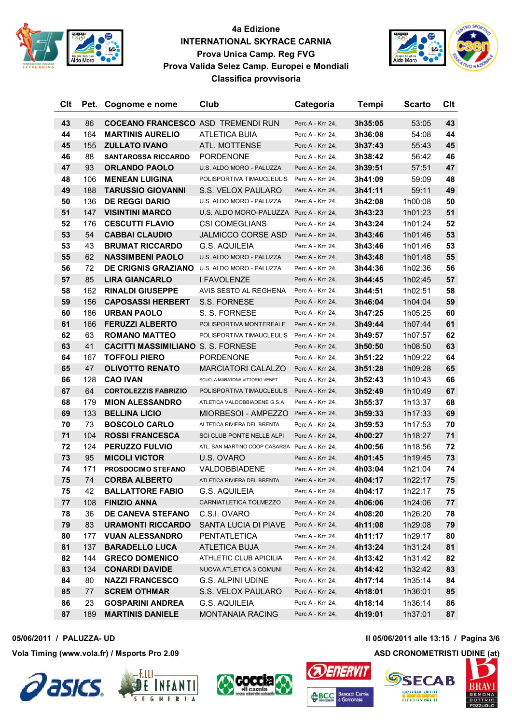



| <b>Clt</b> | Pet. | Cognome e nome                            | Club                                          | Categoria       | Tempi   | <b>Scarto</b> | Clt |
|------------|------|-------------------------------------------|-----------------------------------------------|-----------------|---------|---------------|-----|
| 43         | 86   | <b>COCEANO FRANCESCO ASD TREMENDI RUN</b> |                                               | Perc A - Km 24, | 3h35:05 | 53:05         | 43  |
| 44         | 164  | <b>MARTINIS AURELIO</b>                   | <b>ATLETICA BUIA</b>                          | Perc A - Km 24, | 3h36:08 | 54:08         | 44  |
| 45         | 155  | <b>ZULLATO IVANO</b>                      | ATL. MOTTENSE                                 | Perc A - Km 24, | 3h37:43 | 55:43         | 45  |
| 46         | 88   | <b>SANTAROSSA RICCARDO</b>                | <b>PORDENONE</b>                              | Perc A - Km 24, | 3h38:42 | 56:42         | 46  |
| 47         | 93   | <b>ORLANDO PAOLO</b>                      | U.S. ALDO MORO - PALUZZA                      | Perc A - Km 24, | 3h39:51 | 57:51         | 47  |
| 48         | 106  | <b>MENEAN LUIGINA</b>                     | POLISPORTIVA TIMAUCLEULIS                     | Perc A - Km 24, | 3h41:09 | 59:09         | 48  |
| 49         | 188  | <b>TARUSSIO GIOVANNI</b>                  | S.S. VELOX PAULARO                            | Perc A - Km 24, | 3h41:11 | 59:11         | 49  |
| 50         | 136  | <b>DE REGGI DARIO</b>                     | U.S. ALDO MORO - PALUZZA                      | Perc A - Km 24, | 3h42:08 | 1h00:08       | 50  |
| 51         | 147  | <b>VISINTINI MARCO</b>                    | U.S. ALDO MORO-PALUZZA Perc A - Km 24,        |                 | 3h43:23 | 1h01:23       | 51  |
| 52         | 176  | <b>CESCUTTI FLAVIO</b>                    | <b>CSI COMEGLIANS</b>                         | Perc A - Km 24, | 3h43:24 | 1h01:24       | 52  |
| 53         | 54   | <b>CABBAI CLAUDIO</b>                     | <b>JALMICCO CORSE ASD</b>                     | Perc A - Km 24, | 3h43:46 | 1h01:46       | 53  |
| 53         | 43   | <b>BRUMAT RICCARDO</b>                    | <b>G.S. AQUILEIA</b>                          | Perc A - Km 24, | 3h43:46 | 1h01:46       | 53  |
| 55         | 62   | <b>NASSIMBENI PAOLO</b>                   | U.S. ALDO MORO - PALUZZA                      | Perc A - Km 24, | 3h43:48 | 1h01:48       | 55  |
| 56         | 72   | <b>DE CRIGNIS GRAZIANO</b>                | U.S. ALDO MORO - PALUZZA                      | Perc A - Km 24, | 3h44:36 | 1h02:36       | 56  |
| 57         | 85   | <b>LIRA GIANCARLO</b>                     | I FAVOLENZE                                   | Perc A - Km 24, | 3h44:45 | 1h02:45       | 57  |
| 58         | 162  | <b>RINALDI GIUSEPPE</b>                   | AVIS SESTO AL REGHENA                         | Perc A - Km 24, | 3h44:51 | 1h02:51       | 58  |
| 59         | 156  | <b>CAPOSASSI HERBERT</b>                  | S.S. FORNESE                                  | Perc A - Km 24, | 3h46:04 | 1h04:04       | 59  |
| 60         | 186  | <b>URBAN PAOLO</b>                        | S. S. FORNESE                                 | Perc A - Km 24, | 3h47:25 | 1h05:25       | 60  |
| 61         | 166  | <b>FERUZZI ALBERTO</b>                    | POLISPORTIVA MONTEREALE                       | Perc A - Km 24, | 3h49:44 | 1h07:44       | 61  |
| 62         | 63   | <b>ROMANO MATTEO</b>                      | POLISPORTIVA TIMAUCLEULIS Perc A - Km 24,     |                 | 3h49:57 | 1h07:57       | 62  |
| 63         | 41   | <b>CACITTI MASSIMILIANO S. S. FORNESE</b> |                                               | Perc A - Km 24, | 3h50:50 | 1h08:50       | 63  |
| 64         | 167  | <b>TOFFOLI PIERO</b>                      | <b>PORDENONE</b>                              | Perc A - Km 24, | 3h51:22 | 1h09:22       | 64  |
| 65         | 47   | <b>OLIVOTTO RENATO</b>                    | <b>MARCIATORI CALALZO</b>                     | Perc A - Km 24, | 3h51:28 | 1h09:28       | 65  |
| 66         | 128  | <b>CAO IVAN</b>                           | SCUOLA MARATONA VITTORIO VENET                | Perc A - Km 24, | 3h52:43 | 1h10:43       | 66  |
| 67         | 64   | <b>CORTOLEZZIS FABRIZIO</b>               | POLISPORTIVA TIMAUCLEULIS                     | Perc A - Km 24, | 3h52:49 | 1h10:49       | 67  |
| 68         | 179  | <b>MION ALESSANDRO</b>                    | ATLETICA VALDOBBIADENE G.S.A.                 | Perc A - Km 24, | 3h55:37 | 1h13:37       | 68  |
| 69         | 133  | <b>BELLINA LICIO</b>                      | MIORBESOI - AMPEZZO                           | Perc A - Km 24, | 3h59:33 | 1h17:33       | 69  |
| 70         | 73   | <b>BOSCOLO CARLO</b>                      | ALTETICA RIVIERA DEL BRENTA                   | Perc A - Km 24, | 3h59:53 | 1h17:53       | 70  |
| 71         | 104  | <b>ROSSI FRANCESCA</b>                    | SCI CLUB PONTE NELLE ALPI                     | Perc A - Km 24, | 4h00:27 | 1h18:27       | 71  |
| 72         | 124  | <b>PERUZZO FULVIO</b>                     | ATL. SAN MARTINO COOP CASARSA Perc A - Km 24, |                 | 4h00:56 | 1h18:56       | 72  |
| 73         | 95   | <b>MICOLI VICTOR</b>                      | U.S. OVARO                                    | Perc A - Km 24, | 4h01:45 | 1h19:45       | 73  |
| 74         | 171  | <b>PROSDOCIMO STEFANO</b>                 | <b>VALDOBBIADENE</b>                          | Perc A - Km 24, | 4h03:04 | 1h21:04       | 74  |
| 75         | 74   | <b>CORBA ALBERTO</b>                      | ATLETICA RIVIERA DEL BRENTA                   | Perc A - Km 24, | 4h04:17 | 1h22:17       | 75  |
| 75         | 42   | <b>BALLATTORE FABIO</b>                   | G.S. AQUILEIA                                 | Perc A - Km 24, | 4h04:17 | 1h22:17       | 75  |
| 77         | 108  | <b>FINIZIO ANNA</b>                       | CARNIATLETICA TOLMEZZO                        | Perc A - Km 24, | 4h06:06 | 1h24:06       | 77  |
| 78         | 36   | <b>DE CANEVA STEFANO</b>                  | C.S.I. OVARO                                  | Perc A - Km 24, | 4h08:20 | 1h26:20       | 78  |
| 79         | 83   | <b>URAMONTI RICCARDO</b>                  | SANTA LUCIA DI PIAVE                          | Perc A - Km 24, | 4h11:08 | 1h29:08       | 79  |
| 80         | 177  | <b>VUAN ALESSANDRO</b>                    | PENTATLETICA                                  | Perc A - Km 24, | 4h11:17 | 1h29:17       | 80  |
| 81         | 137  | <b>BARADELLO LUCA</b>                     | ATLETICA BUJA                                 | Perc A - Km 24, | 4h13:24 | 1h31:24       | 81  |
| 82         | 144  | <b>GRECO DOMENICO</b>                     | ATHLETIC CLUB APICILIA                        | Perc A - Km 24, | 4h13:42 | 1h31:42       | 82  |
| 83         | 134  | <b>CONARDI DAVIDE</b>                     | NUOVA ATLETICA 3 COMUNI                       | Perc A - Km 24, | 4h14:42 | 1h32:42       | 83  |
| 84         | 80   | <b>NAZZI FRANCESCO</b>                    | G.S. ALPINI UDINE                             | Perc A - Km 24, | 4h17:14 | 1h35:14       | 84  |
| 85         | 77   | <b>SCREM OTHMAR</b>                       | S.S. VELOX PAULARO                            | Perc A - Km 24, | 4h18:01 | 1h36:01       | 85  |
| 86         | 23   | <b>GOSPARINI ANDREA</b>                   | G.S. AQUILEIA                                 | Perc A - Km 24, | 4h18:14 | 1h36:14       | 86  |
| 87         | 189  | <b>MARTINIS DANIELE</b>                   | MONTANAIA RACING                              | Perc A - Km 24, | 4h19:01 | 1h37:01       | 87  |

**Vola Timing (www.vola.fr) / Msports Pro 2.09 ASD CRONOMETRISTI UDINE (at)**







**ABCC** 

**05/06/2011 / PALUZZA- UD Il 05/06/2011 alle 13:15 / Pagina 3/6**



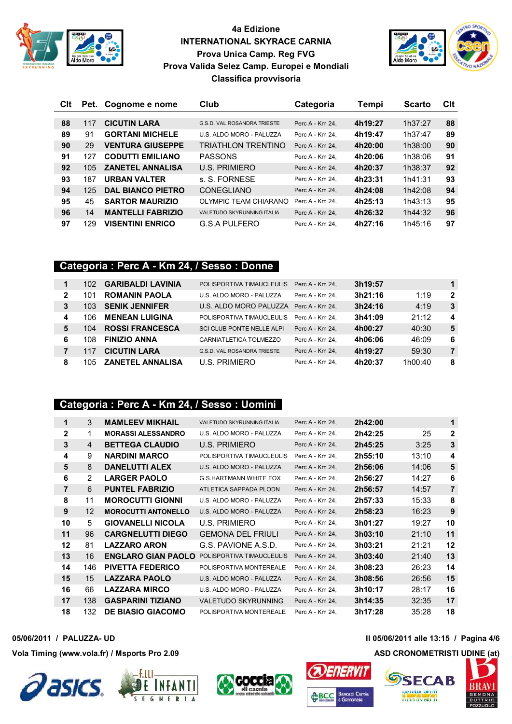



| Clt | Pet. | Cognome e nome           | Club                              | Categoria       | Tempi   | <b>Scarto</b> | Clt |
|-----|------|--------------------------|-----------------------------------|-----------------|---------|---------------|-----|
|     |      |                          |                                   |                 |         |               |     |
| 88  | 117  | <b>CICUTIN LARA</b>      | G.S.D. VAL ROSANDRA TRIESTE       | Perc A - Km 24. | 4h19:27 | 1h37:27       | 88  |
| 89  | 91   | <b>GORTANI MICHELE</b>   | U.S. ALDO MORO - PALUZZA          | Perc A - Km 24. | 4h19:47 | 1h37:47       | 89  |
| 90  | 29   | <b>VENTURA GIUSEPPE</b>  | TRIATHLON TRENTINO                | Perc A - Km 24. | 4h20:00 | 1h38:00       | 90  |
| 91  | 127  | <b>CODUTTI EMILIANO</b>  | <b>PASSONS</b>                    | Perc A - Km 24. | 4h20:06 | 1h38:06       | 91  |
| 92  | 105  | <b>ZANETEL ANNALISA</b>  | U.S. PRIMIERO                     | Perc A - Km 24. | 4h20:37 | 1h38:37       | 92  |
| 93  | 187  | <b>URBAN VALTER</b>      | s. S. FORNESE                     | Perc A - Km 24. | 4h23:31 | 1h41:31       | 93  |
| 94  | 125  | <b>DAL BIANCO PIETRO</b> | <b>CONEGLIANO</b>                 | Perc A - Km 24. | 4h24:08 | 1h42:08       | 94  |
| 95  | 45   | <b>SARTOR MAURIZIO</b>   | OLYMPIC TEAM CHIARANO             | Perc A - Km 24. | 4h25:13 | 1h43:13       | 95  |
| 96  | 14   | <b>MANTELLI FABRIZIO</b> | <b>VALETUDO SKYRUNNING ITALIA</b> | Perc A - Km 24. | 4h26:32 | 1h44:32       | 96  |
| 97  | 129  | <b>VISENTINI ENRICO</b>  | <b>G.S.A PULFERO</b>              | Perc A - Km 24. | 4h27:16 | 1h45:16       | 97  |

## **Categoria : Perc A - Km 24, / Sesso : Donne**

| 1 | 102 | <b>GARIBALDI LAVINIA</b> | POLISPORTIVA TIMAUCLEULIS              | Perc A - Km 24. | 3h19:57 |         | 1              |
|---|-----|--------------------------|----------------------------------------|-----------------|---------|---------|----------------|
| 2 | 101 | <b>ROMANIN PAOLA</b>     | U.S. ALDO MORO - PALUZZA               | Perc A - Km 24. | 3h21:16 | 1:19    | 2              |
| 3 | 103 | <b>SENIK JENNIFER</b>    | U.S. ALDO MORO PALUZZA Perc A - Km 24, |                 | 3h24:16 | 4:19    | 3              |
| 4 | 106 | <b>MENEAN LUIGINA</b>    | POLISPORTIVA TIMAUCLEULIS              | Perc A - Km 24. | 3h41:09 | 21:12   | 4              |
| 5 | 104 | <b>ROSSI FRANCESCA</b>   | <b>SCI CLUB PONTE NELLE ALPI</b>       | Perc A - Km 24. | 4h00:27 | 40:30   | 5              |
| 6 | 108 | <b>FINIZIO ANNA</b>      | CARNIATLETICA TOLMEZZO                 | Perc A - Km 24. | 4h06:06 | 46:09   | 6              |
|   | 117 | <b>CICUTIN LARA</b>      | <b>G.S.D. VAL ROSANDRA TRIESTE</b>     | Perc A - Km 24, | 4h19:27 | 59:30   | $\overline{7}$ |
| 8 | 105 | <b>ZANETEL ANNALISA</b>  | U.S. PRIMIERO                          | Perc A - Km 24. | 4h20:37 | 1h00:40 | 8              |

### **Categoria : Perc A - Km 24, / Sesso : Uomini**

| 1            | 3              | <b>MAMLEEV MIKHAIL</b>     | VALETUDO SKYRUNNING ITALIA    | Perc A - Km 24, | 2h42:00 |       | 1              |
|--------------|----------------|----------------------------|-------------------------------|-----------------|---------|-------|----------------|
| $\mathbf{2}$ | 1              | <b>MORASSI ALESSANDRO</b>  | U.S. ALDO MORO - PALUZZA      | Perc A - Km 24, | 2h42:25 | 25    | 2              |
| 3            | 4              | <b>BETTEGA CLAUDIO</b>     | U.S. PRIMIERO                 | Perc A - Km 24, | 2h45:25 | 3:25  | 3              |
| 4            | 9              | <b>NARDINI MARCO</b>       | POLISPORTIVA TIMAUCLEULIS     | Perc A - Km 24. | 2h55:10 | 13:10 | 4              |
| 5            | 8              | <b>DANELUTTI ALEX</b>      | U.S. ALDO MORO - PALUZZA      | Perc A - Km 24. | 2h56:06 | 14:06 | 5              |
| 6            | $\overline{2}$ | <b>LARGER PAOLO</b>        | <b>G.S.HARTMANN WHITE FOX</b> | Perc A - Km 24, | 2h56:27 | 14:27 | 6              |
| 7            | 6              | <b>PUNTEL FABRIZIO</b>     | ATLETICA SAPPADA PLODN        | Perc A - Km 24, | 2h56:57 | 14:57 | $\overline{7}$ |
| 8            | 11             | <b>MOROCUTTI GIONNI</b>    | U.S. ALDO MORO - PALUZZA      | Perc A - Km 24, | 2h57:33 | 15:33 | 8              |
| 9            | 12             | <b>MOROCUTTI ANTONELLO</b> | U.S. ALDO MORO - PALUZZA      | Perc A - Km 24, | 2h58:23 | 16:23 | 9              |
| 10           | 5              | <b>GIOVANELLI NICOLA</b>   | U.S. PRIMIERO                 | Perc A - Km 24, | 3h01:27 | 19:27 | 10             |
| 11           | 96             | <b>CARGNELUTTI DIEGO</b>   | <b>GEMONA DEL FRIULI</b>      | Perc A - Km 24, | 3h03:10 | 21:10 | 11             |
| 12           | 81             | <b>LAZZARO ARON</b>        | G.S. PAVIONE A.S.D.           | Perc A - Km 24. | 3h03:21 | 21:21 | 12             |
| 13           | 16             | <b>ENGLARO GIAN PAOLO</b>  | POLISPORTIVA TIMAUCLEULIS     | Perc A - Km 24, | 3h03:40 | 21:40 | 13             |
| 14           | 146            | <b>PIVETTA FEDERICO</b>    | POLISPORTIVA MONTEREALE       | Perc A - Km 24, | 3h08:23 | 26:23 | 14             |
| 15           | 15             | <b>LAZZARA PAOLO</b>       | U.S. ALDO MORO - PALUZZA      | Perc A - Km 24. | 3h08:56 | 26:56 | 15             |
| 16           | 66             | <b>LAZZARA MIRCO</b>       | U.S. ALDO MORO - PALUZZA      | Perc A - Km 24. | 3h10:17 | 28:17 | 16             |
| 17           | 138            | <b>GASPARINI TIZIANO</b>   | <b>VALETUDO SKYRUNNING</b>    | Perc A - Km 24. | 3h14:35 | 32:35 | 17             |
| 18           | 132            | <b>DE BIASIO GIACOMO</b>   | POLISPORTIVA MONTEREALE       | Perc A - Km 24. | 3h17:28 | 35:28 | 18             |







### **05/06/2011 / PALUZZA- UD Il 05/06/2011 alle 13:15 / Pagina 4/6**

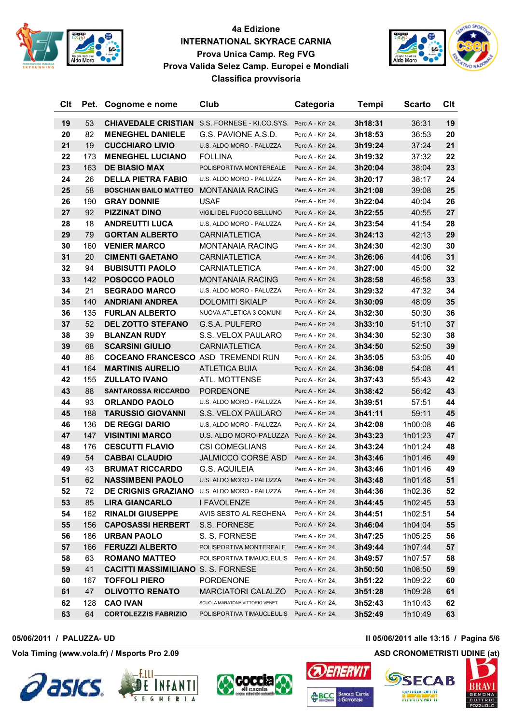



| Clt      | Pet.     | Cognome e nome                                    | Club                                       | Categoria       | Tempi   | <b>Scarto</b> | Clt      |
|----------|----------|---------------------------------------------------|--------------------------------------------|-----------------|---------|---------------|----------|
|          |          | <b>CHIAVEDALE CRISTIAN</b>                        |                                            |                 | 3h18:31 |               | 19       |
| 19       | 53<br>82 | <b>MENEGHEL DANIELE</b>                           | S.S. FORNESE - KI.CO.SYS. Perc A - Km 24,  |                 |         | 36:31         |          |
| 20       | 19       |                                                   | G.S. PAVIONE A.S.D.                        | Perc A - Km 24, | 3h18:53 | 36:53         | 20<br>21 |
| 21<br>22 | 173      | <b>CUCCHIARO LIVIO</b><br><b>MENEGHEL LUCIANO</b> | U.S. ALDO MORO - PALUZZA<br><b>FOLLINA</b> | Perc A - Km 24, | 3h19:24 | 37:24         | 22       |
|          |          |                                                   |                                            | Perc A - Km 24, | 3h19:32 | 37:32         |          |
| 23       | 163      | <b>DE BIASIO MAX</b>                              | POLISPORTIVA MONTEREALE                    | Perc A - Km 24, | 3h20:04 | 38:04         | 23       |
| 24       | 26       | <b>DELLA PIETRA FABIO</b>                         | U.S. ALDO MORO - PALUZZA                   | Perc A - Km 24, | 3h20:17 | 38:17         | 24       |
| 25       | 58       | <b>BOSCHIAN BAILO MATTEO</b>                      | <b>MONTANAIA RACING</b>                    | Perc A - Km 24, | 3h21:08 | 39:08         | 25       |
| 26       | 190      | <b>GRAY DONNIE</b>                                | <b>USAF</b>                                | Perc A - Km 24, | 3h22:04 | 40:04         | 26       |
| 27       | 92       | <b>PIZZINAT DINO</b>                              | VIGILI DEL FUOCO BELLUNO                   | Perc A - Km 24, | 3h22:55 | 40:55         | 27       |
| 28       | 18       | <b>ANDREUTTI LUCA</b>                             | U.S. ALDO MORO - PALUZZA                   | Perc A - Km 24, | 3h23:54 | 41:54         | 28       |
| 29       | 79       | <b>GORTAN ALBERTO</b>                             | <b>CARNIATLETICA</b>                       | Perc A - Km 24, | 3h24:13 | 42:13         | 29       |
| 30       | 160      | <b>VENIER MARCO</b>                               | <b>MONTANAIA RACING</b>                    | Perc A - Km 24, | 3h24:30 | 42:30         | 30       |
| 31       | 20       | <b>CIMENTI GAETANO</b>                            | <b>CARNIATLETICA</b>                       | Perc A - Km 24, | 3h26:06 | 44:06         | 31       |
| 32       | 94       | <b>BUBISUTTI PAOLO</b>                            | CARNIATLETICA                              | Perc A - Km 24, | 3h27:00 | 45:00         | 32       |
| 33       | 142      | POSOCCO PAOLO                                     | <b>MONTANAIA RACING</b>                    | Perc A - Km 24, | 3h28:58 | 46:58         | 33       |
| 34       | 21       | <b>SEGRADO MARCO</b>                              | U.S. ALDO MORO - PALUZZA                   | Perc A - Km 24, | 3h29:32 | 47:32         | 34       |
| 35       | 140      | <b>ANDRIANI ANDREA</b>                            | <b>DOLOMITI SKIALP</b>                     | Perc A - Km 24, | 3h30:09 | 48:09         | 35       |
| 36       | 135      | <b>FURLAN ALBERTO</b>                             | NUOVA ATLETICA 3 COMUNI                    | Perc A - Km 24. | 3h32:30 | 50:30         | 36       |
| 37       | 52       | <b>DEL ZOTTO STEFANO</b>                          | G.S.A. PULFERO                             | Perc A - Km 24, | 3h33:10 | 51:10         | 37       |
| 38       | 39       | <b>BLANZAN RUDY</b>                               | S.S. VELOX PAULARO                         | Perc A - Km 24, | 3h34:30 | 52:30         | 38       |
| 39       | 68       | <b>SCARSINI GIULIO</b>                            | <b>CARNIATLETICA</b>                       | Perc A - Km 24, | 3h34:50 | 52:50         | 39       |
| 40       | 86       | <b>COCEANO FRANCESCO ASD TREMENDI RUN</b>         |                                            | Perc A - Km 24, | 3h35:05 | 53:05         | 40       |
| 41       | 164      | <b>MARTINIS AURELIO</b>                           | <b>ATLETICA BUIA</b>                       | Perc A - Km 24, | 3h36:08 | 54:08         | 41       |
| 42       | 155      | <b>ZULLATO IVANO</b>                              | ATL. MOTTENSE                              | Perc A - Km 24, | 3h37:43 | 55:43         | 42       |
| 43       | 88       | <b>SANTAROSSA RICCARDO</b>                        | <b>PORDENONE</b>                           | Perc A - Km 24, | 3h38:42 | 56:42         | 43       |
| 44       | 93       | <b>ORLANDO PAOLO</b>                              | U.S. ALDO MORO - PALUZZA                   | Perc A - Km 24, | 3h39:51 | 57:51         | 44       |
| 45       | 188      | <b>TARUSSIO GIOVANNI</b>                          | S.S. VELOX PAULARO                         | Perc A - Km 24, | 3h41:11 | 59:11         | 45       |
| 46       | 136      | <b>DE REGGI DARIO</b>                             | U.S. ALDO MORO - PALUZZA                   | Perc A - Km 24, | 3h42:08 | 1h00:08       | 46       |
| 47       | 147      | <b>VISINTINI MARCO</b>                            | U.S. ALDO MORO-PALUZZA Perc A - Km 24,     |                 | 3h43:23 | 1h01:23       | 47       |
| 48       | 176      | <b>CESCUTTI FLAVIO</b>                            | <b>CSI COMEGLIANS</b>                      | Perc A - Km 24, | 3h43:24 | 1h01:24       | 48       |
| 49       | 54       | <b>CABBAI CLAUDIO</b>                             | <b>JALMICCO CORSE ASD</b>                  | Perc A - Km 24, | 3h43:46 | 1h01:46       | 49       |
| 49       | 43       | <b>BRUMAT RICCARDO</b>                            | <b>G.S. AQUILEIA</b>                       | Perc A - Km 24, | 3h43:46 | 1h01:46       | 49       |
| 51       | 62       | <b>NASSIMBENI PAOLO</b>                           | U.S. ALDO MORO - PALUZZA                   | Perc A - Km 24, | 3h43:48 | 1h01:48       | 51       |
| 52       | 72       | DE CRIGNIS GRAZIANO U.S. ALDO MORO - PALUZZA      |                                            | Perc A - Km 24, | 3h44:36 | 1h02:36       | 52       |
| 53       | 85       | <b>LIRA GIANCARLO</b>                             | I FAVOLENZE                                | Perc A - Km 24, | 3h44:45 | 1h02:45       | 53       |
| 54       | 162      | <b>RINALDI GIUSEPPE</b>                           | AVIS SESTO AL REGHENA                      | Perc A - Km 24, | 3h44:51 | 1h02:51       | 54       |
| 55       | 156      | <b>CAPOSASSI HERBERT</b>                          | S.S. FORNESE                               | Perc A - Km 24, | 3h46:04 | 1h04:04       | 55       |
| 56       | 186      | <b>URBAN PAOLO</b>                                | S. S. FORNESE                              | Perc A - Km 24, | 3h47:25 | 1h05:25       | 56       |
| 57       | 166      | <b>FERUZZI ALBERTO</b>                            | POLISPORTIVA MONTEREALE                    | Perc A - Km 24, | 3h49:44 | 1h07:44       | 57       |
| 58       | 63       | <b>ROMANO MATTEO</b>                              | POLISPORTIVA TIMAUCLEULIS Perc A - Km 24,  |                 | 3h49:57 | 1h07:57       | 58       |
| 59       | 41       | <b>CACITTI MASSIMILIANO S. S. FORNESE</b>         |                                            | Perc A - Km 24, | 3h50:50 | 1h08:50       | 59       |
| 60       | 167      | <b>TOFFOLI PIERO</b>                              | PORDENONE                                  | Perc A - Km 24, | 3h51:22 | 1h09:22       | 60       |
| 61       | 47       | <b>OLIVOTTO RENATO</b>                            | <b>MARCIATORI CALALZO</b>                  | Perc A - Km 24, | 3h51:28 | 1h09:28       | 61       |
| 62       | 128      | <b>CAO IVAN</b>                                   | SCUOLA MARATONA VITTORIO VENET             | Perc A - Km 24, | 3h52:43 | 1h10:43       | 62       |
| 63       | 64       | <b>CORTOLEZZIS FABRIZIO</b>                       | POLISPORTIVA TIMAUCLEULIS Perc A - Km 24,  |                 | 3h52:49 | 1h10:49       | 63       |

**Vola Timing (www.vola.fr) / Msports Pro 2.09 ASD CRONOMETRISTI UDINE (at)**







**ABCC** 

**05/06/2011 / PALUZZA- UD Il 05/06/2011 alle 13:15 / Pagina 5/6**